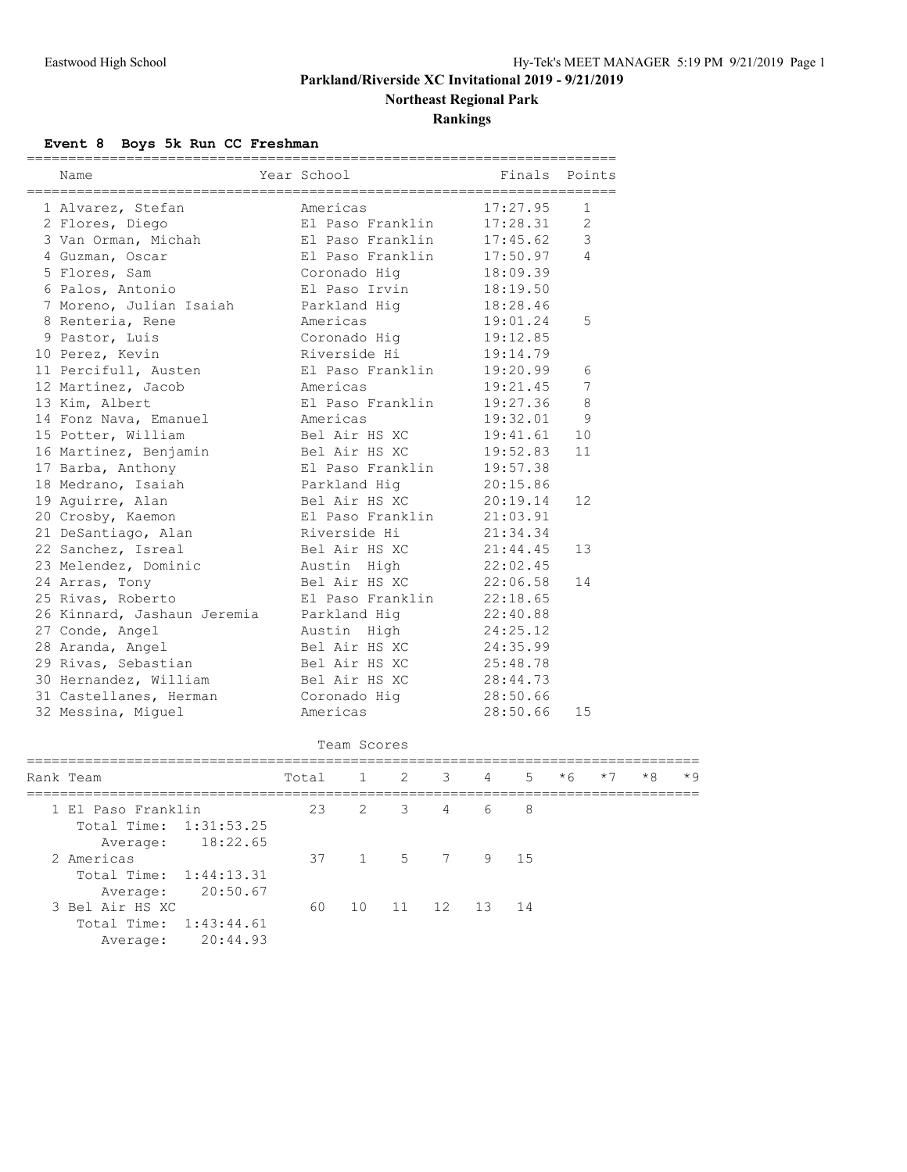**Northeast Regional Park**

**Rankings**

#### **Event 8 Boys 5k Run CC Freshman**

| Name                        | ============<br>Year School |              |                  |   |   | ===================<br>Finals | Points |      |      |      |
|-----------------------------|-----------------------------|--------------|------------------|---|---|-------------------------------|--------|------|------|------|
| 1 Alvarez, Stefan           | Americas                    |              |                  |   |   | 17:27.95                      | 1      |      |      |      |
| 2 Flores, Diego             | El Paso Franklin            |              |                  |   |   | 17:28.31                      | 2      |      |      |      |
| 3 Van Orman, Michah         | El Paso Franklin            |              |                  |   |   | 17:45.62                      | 3      |      |      |      |
| 4 Guzman, Oscar             | El Paso Franklin            |              |                  |   |   | 17:50.97                      | 4      |      |      |      |
| 5 Flores, Sam               | Coronado Hig                |              |                  |   |   | 18:09.39                      |        |      |      |      |
| 6 Palos, Antonio            | El Paso Irvin               |              |                  |   |   | 18:19.50                      |        |      |      |      |
| 7 Moreno, Julian Isaiah     | Parkland Hiq                |              |                  |   |   | 18:28.46                      |        |      |      |      |
| 8 Renteria, Rene            | Americas                    |              |                  |   |   | 19:01.24                      | 5      |      |      |      |
| 9 Pastor, Luis              | Coronado Hig                |              |                  |   |   | 19:12.85                      |        |      |      |      |
| 10 Perez, Kevin             | Riverside Hi                |              |                  |   |   | 19:14.79                      |        |      |      |      |
| 11 Percifull, Austen        | El Paso Franklin            |              |                  |   |   | 19:20.99                      | 6      |      |      |      |
| 12 Martinez, Jacob          | Americas                    |              |                  |   |   | 19:21.45                      | 7      |      |      |      |
| 13 Kim, Albert              | El Paso Franklin            |              |                  |   |   | 19:27.36                      | 8      |      |      |      |
| 14 Fonz Nava, Emanuel       | Americas                    |              |                  |   |   | 19:32.01                      | 9      |      |      |      |
| 15 Potter, William          | Bel Air HS XC               |              |                  |   |   | 19:41.61                      | 10     |      |      |      |
| 16 Martinez, Benjamin       | Bel Air HS XC               |              |                  |   |   | 19:52.83                      | 11     |      |      |      |
| 17 Barba, Anthony           |                             |              | El Paso Franklin |   |   | 19:57.38                      |        |      |      |      |
| 18 Medrano, Isaiah          | Parkland Hiq                |              |                  |   |   | 20:15.86                      |        |      |      |      |
| 19 Aguirre, Alan            | Bel Air HS XC               |              |                  |   |   | 20:19.14                      | 12     |      |      |      |
| 20 Crosby, Kaemon           |                             |              | El Paso Franklin |   |   | 21:03.91                      |        |      |      |      |
| 21 DeSantiago, Alan         | Riverside Hi                |              |                  |   |   | 21:34.34                      |        |      |      |      |
| 22 Sanchez, Isreal          | Bel Air HS XC               |              |                  |   |   | 21:44.45                      | 13     |      |      |      |
| 23 Melendez, Dominic        | Austin High                 |              |                  |   |   | 22:02.45                      |        |      |      |      |
| 24 Arras, Tony              | Bel Air HS XC               |              |                  |   |   | 22:06.58                      | 14     |      |      |      |
| 25 Rivas, Roberto           |                             |              | El Paso Franklin |   |   | 22:18.65                      |        |      |      |      |
| 26 Kinnard, Jashaun Jeremia | Parkland Hig                |              |                  |   |   | 22:40.88                      |        |      |      |      |
| 27 Conde, Angel             | Austin High                 |              |                  |   |   | 24:25.12                      |        |      |      |      |
| 28 Aranda, Angel            | Bel Air HS XC               |              |                  |   |   | 24:35.99                      |        |      |      |      |
| 29 Rivas, Sebastian         | Bel Air HS XC               |              |                  |   |   | 25:48.78                      |        |      |      |      |
| 30 Hernandez, William       | Bel Air HS XC               |              |                  |   |   | 28:44.73                      |        |      |      |      |
| 31 Castellanes, Herman      | Coronado Hig                |              |                  |   |   | 28:50.66                      |        |      |      |      |
| 32 Messina, Miguel          | Americas                    |              |                  |   |   | 28:50.66                      | 15     |      |      |      |
|                             |                             | Team Scores  |                  |   |   |                               |        |      |      |      |
| Rank Team                   | Total                       | $\mathbf{1}$ | 2                | 3 | 4 | 5                             | $*6$   | $*7$ | $*8$ | $*9$ |
| 1 El Paso Franklin          | 23                          | 2            | 3                | 4 | 6 | 8                             |        |      |      |      |
| Total Time: 1:31:53.25      |                             |              |                  |   |   |                               |        |      |      |      |
| 18:22.65<br>Average:        |                             |              |                  |   |   |                               |        |      |      |      |
| 2 Americas                  | 37                          | $\mathbf{1}$ | 5                | 7 | 9 | 15                            |        |      |      |      |
| Total Time:<br>1:44:13.31   |                             |              |                  |   |   |                               |        |      |      |      |

3 Bel Air HS XC 60 10 11 12 13 14

 Total Time: 1:43:44.61 Average: 20:44.93

Average: 20:50.67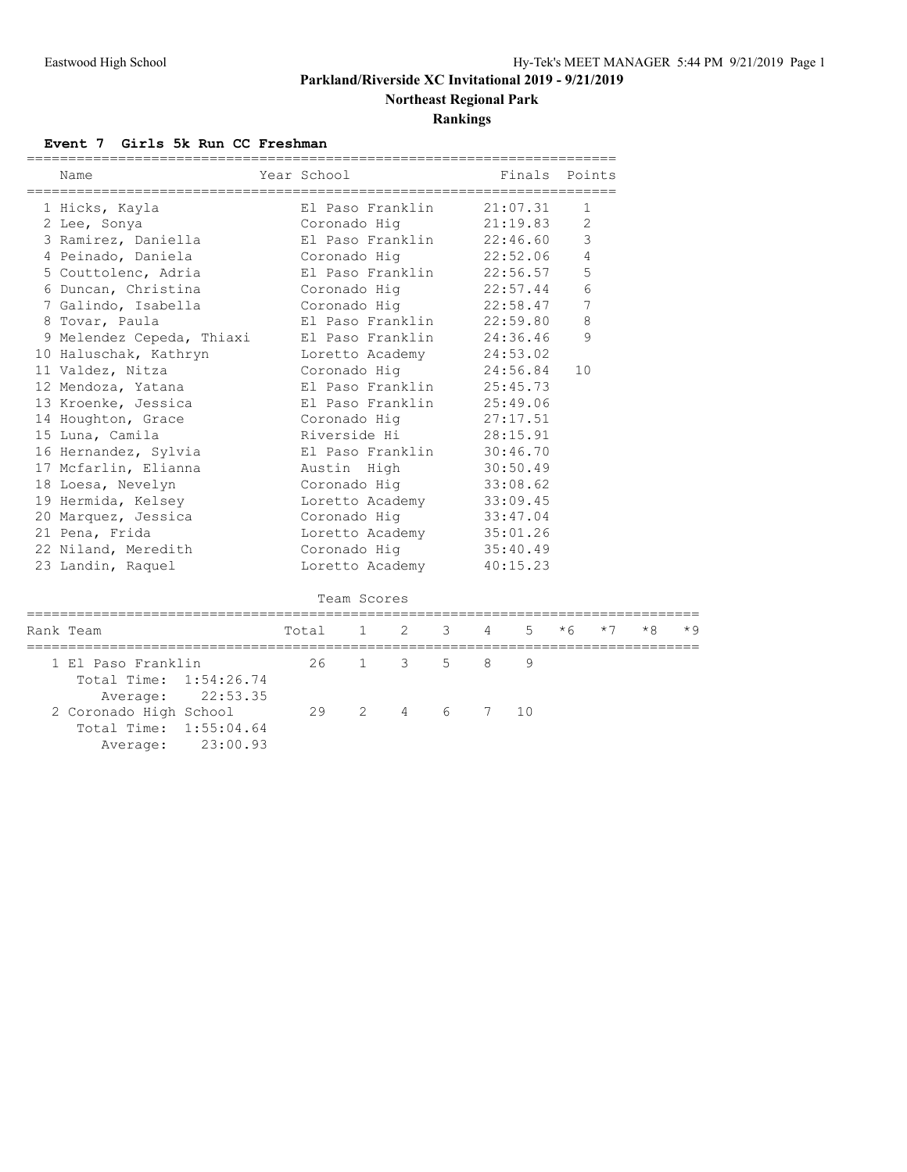**Northeast Regional Park**

**Rankings**

#### **Event 7 Girls 5k Run CC Freshman**

| Name                  |                                                                                                                                            | Finals Points                                           |                                                                                                                                                                                                                                                                                                                                                                                                                                                                                                                                                                                                                                                                                                                                                                                                                                                                                                                                 |
|-----------------------|--------------------------------------------------------------------------------------------------------------------------------------------|---------------------------------------------------------|---------------------------------------------------------------------------------------------------------------------------------------------------------------------------------------------------------------------------------------------------------------------------------------------------------------------------------------------------------------------------------------------------------------------------------------------------------------------------------------------------------------------------------------------------------------------------------------------------------------------------------------------------------------------------------------------------------------------------------------------------------------------------------------------------------------------------------------------------------------------------------------------------------------------------------|
|                       |                                                                                                                                            |                                                         |                                                                                                                                                                                                                                                                                                                                                                                                                                                                                                                                                                                                                                                                                                                                                                                                                                                                                                                                 |
|                       |                                                                                                                                            |                                                         | 1                                                                                                                                                                                                                                                                                                                                                                                                                                                                                                                                                                                                                                                                                                                                                                                                                                                                                                                               |
|                       |                                                                                                                                            |                                                         | 2                                                                                                                                                                                                                                                                                                                                                                                                                                                                                                                                                                                                                                                                                                                                                                                                                                                                                                                               |
|                       |                                                                                                                                            |                                                         | $\mathcal{S}$                                                                                                                                                                                                                                                                                                                                                                                                                                                                                                                                                                                                                                                                                                                                                                                                                                                                                                                   |
|                       |                                                                                                                                            |                                                         | $\overline{4}$                                                                                                                                                                                                                                                                                                                                                                                                                                                                                                                                                                                                                                                                                                                                                                                                                                                                                                                  |
|                       |                                                                                                                                            |                                                         | 5                                                                                                                                                                                                                                                                                                                                                                                                                                                                                                                                                                                                                                                                                                                                                                                                                                                                                                                               |
|                       |                                                                                                                                            |                                                         | $6\,$                                                                                                                                                                                                                                                                                                                                                                                                                                                                                                                                                                                                                                                                                                                                                                                                                                                                                                                           |
|                       |                                                                                                                                            |                                                         | $\overline{7}$                                                                                                                                                                                                                                                                                                                                                                                                                                                                                                                                                                                                                                                                                                                                                                                                                                                                                                                  |
| 8 Tovar, Paula        |                                                                                                                                            |                                                         | 8                                                                                                                                                                                                                                                                                                                                                                                                                                                                                                                                                                                                                                                                                                                                                                                                                                                                                                                               |
|                       |                                                                                                                                            |                                                         | 9                                                                                                                                                                                                                                                                                                                                                                                                                                                                                                                                                                                                                                                                                                                                                                                                                                                                                                                               |
| 10 Haluschak, Kathryn |                                                                                                                                            |                                                         |                                                                                                                                                                                                                                                                                                                                                                                                                                                                                                                                                                                                                                                                                                                                                                                                                                                                                                                                 |
|                       |                                                                                                                                            |                                                         | 10                                                                                                                                                                                                                                                                                                                                                                                                                                                                                                                                                                                                                                                                                                                                                                                                                                                                                                                              |
|                       |                                                                                                                                            |                                                         |                                                                                                                                                                                                                                                                                                                                                                                                                                                                                                                                                                                                                                                                                                                                                                                                                                                                                                                                 |
|                       |                                                                                                                                            |                                                         |                                                                                                                                                                                                                                                                                                                                                                                                                                                                                                                                                                                                                                                                                                                                                                                                                                                                                                                                 |
|                       |                                                                                                                                            |                                                         |                                                                                                                                                                                                                                                                                                                                                                                                                                                                                                                                                                                                                                                                                                                                                                                                                                                                                                                                 |
|                       |                                                                                                                                            |                                                         |                                                                                                                                                                                                                                                                                                                                                                                                                                                                                                                                                                                                                                                                                                                                                                                                                                                                                                                                 |
|                       |                                                                                                                                            |                                                         |                                                                                                                                                                                                                                                                                                                                                                                                                                                                                                                                                                                                                                                                                                                                                                                                                                                                                                                                 |
|                       |                                                                                                                                            |                                                         |                                                                                                                                                                                                                                                                                                                                                                                                                                                                                                                                                                                                                                                                                                                                                                                                                                                                                                                                 |
|                       |                                                                                                                                            |                                                         |                                                                                                                                                                                                                                                                                                                                                                                                                                                                                                                                                                                                                                                                                                                                                                                                                                                                                                                                 |
|                       |                                                                                                                                            |                                                         |                                                                                                                                                                                                                                                                                                                                                                                                                                                                                                                                                                                                                                                                                                                                                                                                                                                                                                                                 |
|                       |                                                                                                                                            |                                                         |                                                                                                                                                                                                                                                                                                                                                                                                                                                                                                                                                                                                                                                                                                                                                                                                                                                                                                                                 |
|                       |                                                                                                                                            |                                                         |                                                                                                                                                                                                                                                                                                                                                                                                                                                                                                                                                                                                                                                                                                                                                                                                                                                                                                                                 |
|                       |                                                                                                                                            |                                                         |                                                                                                                                                                                                                                                                                                                                                                                                                                                                                                                                                                                                                                                                                                                                                                                                                                                                                                                                 |
|                       |                                                                                                                                            |                                                         |                                                                                                                                                                                                                                                                                                                                                                                                                                                                                                                                                                                                                                                                                                                                                                                                                                                                                                                                 |
|                       | 1 Hicks, Kayla<br>15 Luna, Camila<br>18 Loesa, Nevelyn<br>19 Hermida, Kelsey<br>21 Pena, Frida<br>22 Niland, Meredith<br>23 Landin, Raquel | Year School<br>17 Mcfarlin, Elianna         Austin High | 2 Lee, Sonya                         Coronado Hig                 21:19.83<br>3 Ramirez, Daniella                   El Paso Franklin         22:46.60<br>4 Peinado, Daniela             Coronado Hig           22:52.06<br>5 Couttolenc, Adria b El Paso Franklin 22:56.57<br>7 Galindo, Isabella               Coronado Hig             22:58.47<br>El Paso Franklin 22:59.80<br>9 Melendez Cepeda, Thiaxi     El Paso Franklin     24:36.46<br>Loretto Academy 24:53.02<br>11 Valdez, Nitza (Coronado Hig 24:56.84<br>12 Mendoza, Yatana $\Box$ El Paso Franklin 25:45.73<br>13 Kroenke, Jessica Barranklin 25:49.06<br>14 Houghton, Grace Coronado Hig 27:17.51<br>16 Hernandez, Sylvia Baso Franklin 30:46.70<br>30:50.49<br>Coronado Hig<br>33:08.62<br>Loretto Academy<br>33:09.45<br>20 Marquez, Jessica Coronado Hig<br>33:47.04<br>Loretto Academy<br>35:01.26<br>Coronado Hig<br>35:40.49<br>Loretto Academy 40:15.23 |

```
 Team Scores
```

| Rank Team                                        |                                        | Total 1 2 3 4 5 $*6$ $*7$ $*8$ $*9$ |  |  |  |  |  |
|--------------------------------------------------|----------------------------------------|-------------------------------------|--|--|--|--|--|
| 1 El Paso Franklin<br>Total Time: 1:54:26.74     |                                        | 26 1 3 5 8 9                        |  |  |  |  |  |
| 2 Coronado High School<br>Total Time: 1:55:04.64 | Average: 22:53.35<br>Average: 23:00.93 | 29 2 4 6 7 10                       |  |  |  |  |  |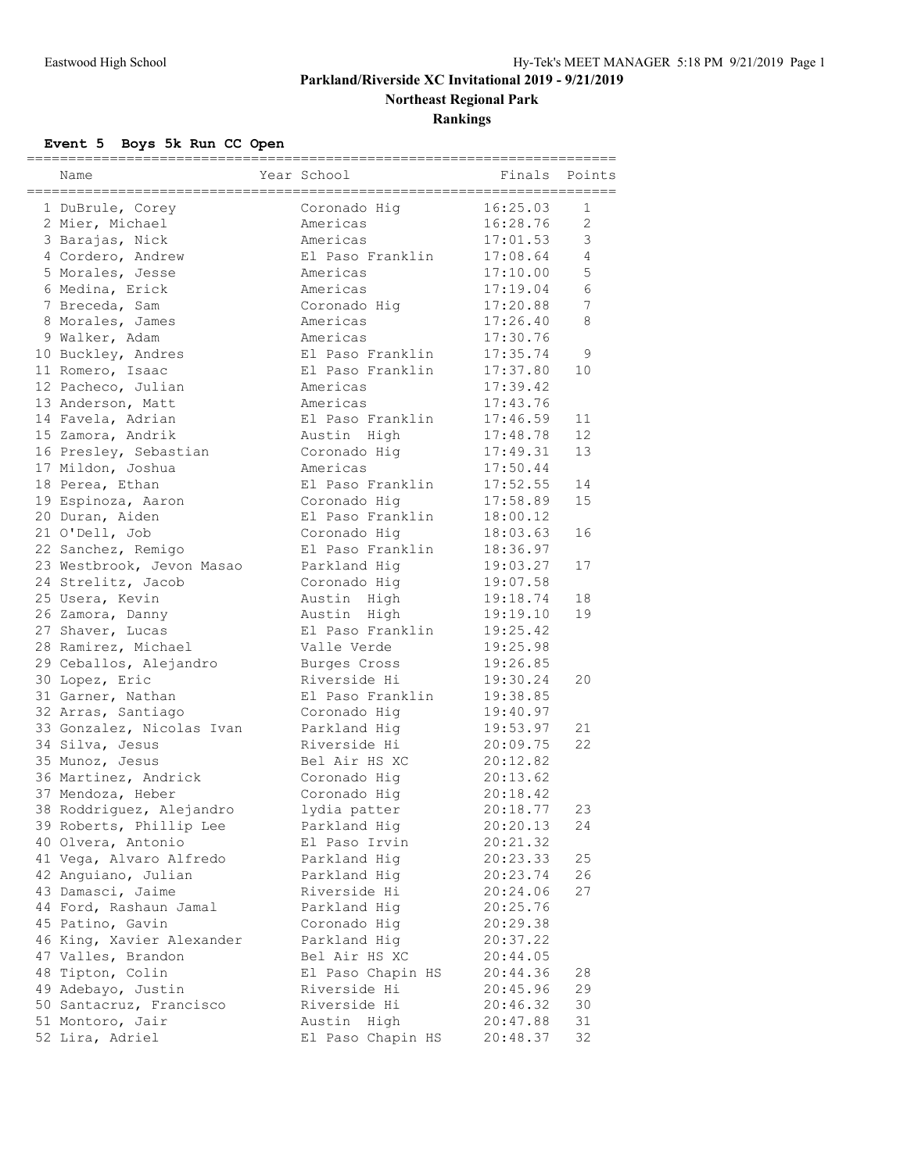**Northeast Regional Park**

**Rankings**

# **Event 5 Boys 5k Run CC Open**

|                           |                              | __________________ |                |
|---------------------------|------------------------------|--------------------|----------------|
| Name                      | Year School                  | Finals             | Points         |
|                           |                              |                    |                |
| 1 DuBrule, Corey          | Coronado Hig                 | 16:25.03           | $\mathbf{1}$   |
| 2 Mier, Michael           | Americas                     | 16:28.76           | $\overline{2}$ |
| 3 Barajas, Nick           | Americas                     | 17:01.53           | 3              |
| 4 Cordero, Andrew         | El Paso Franklin             | 17:08.64           | $\overline{4}$ |
| 5 Morales, Jesse          | Americas                     | 17:10.00           | 5              |
| 6 Medina, Erick           | Americas                     | 17:19.04           | 6              |
| 7 Breceda, Sam            | Coronado Hig                 | 17:20.88           | 7              |
| 8 Morales, James          | Americas                     | 17:26.40           | 8              |
| 9 Walker, Adam            | Americas                     | 17:30.76           |                |
| 10 Buckley, Andres        | El Paso Franklin             | 17:35.74           | 9              |
| 11 Romero, Isaac          | El Paso Franklin             | 17:37.80           | 10             |
| 12 Pacheco, Julian        | Americas                     | 17:39.42           |                |
| 13 Anderson, Matt         | Americas                     | 17:43.76           |                |
| 14 Favela, Adrian         | El Paso Franklin             | 17:46.59           | 11             |
| 15 Zamora, Andrik         | Austin High                  | 17:48.78           | 12             |
| 16 Presley, Sebastian     | Coronado Hig                 | 17:49.31           | 13             |
| 17 Mildon, Joshua         | Americas                     | 17:50.44           |                |
| 18 Perea, Ethan           | El Paso Franklin             | 17:52.55           | 14             |
| 19 Espinoza, Aaron        | Coronado Hiq                 | 17:58.89           | 15             |
| 20 Duran, Aiden           | El Paso Franklin             | 18:00.12           |                |
| 21 O'Dell, Job            | Coronado Hig                 | 18:03.63           | 16             |
| 22 Sanchez, Remigo        | El Paso Franklin             | 18:36.97           |                |
| 23 Westbrook, Jevon Masao | Parkland Hig                 | 19:03.27           | 17             |
| 24 Strelitz, Jacob        | Coronado Hiq                 | 19:07.58           |                |
| 25 Usera, Kevin           | Austin High                  | 19:18.74           | 18             |
| 26 Zamora, Danny          | Austin High                  | 19:19.10           | 19             |
| 27 Shaver, Lucas          | El Paso Franklin             | 19:25.42           |                |
| 28 Ramirez, Michael       | Valle Verde                  | 19:25.98           |                |
| 29 Ceballos, Alejandro    | Burges Cross                 | 19:26.85           |                |
| 30 Lopez, Eric            | Riverside Hi                 | 19:30.24           | 20             |
| 31 Garner, Nathan         | El Paso Franklin             | 19:38.85           |                |
| 32 Arras, Santiago        | Coronado Hiq                 | 19:40.97           |                |
| 33 Gonzalez, Nicolas Ivan | Parkland Hig                 | 19:53.97           | 21             |
| 34 Silva, Jesus           | Riverside Hi                 | 20:09.75           | 22             |
| 35 Munoz, Jesus           | Bel Air HS XC                | 20:12.82           |                |
| 36 Martinez, Andrick      | Coronado Hig                 | 20:13.62           |                |
| 37 Mendoza, Heber         |                              | 20:18.42           |                |
| 38 Roddriguez, Alejandro  | Coronado Hig<br>lydia patter | 20:18.77           | 23             |
|                           |                              |                    |                |
| 39 Roberts, Phillip Lee   | Parkland Hig                 | 20:20.13           | 24             |
| 40 Olvera, Antonio        | El Paso Irvin                | 20:21.32           |                |
| 41 Vega, Alvaro Alfredo   | Parkland Hig                 | 20:23.33           | 25             |
| 42 Anguiano, Julian       | Parkland Hig                 | 20:23.74           | 26             |
| 43 Damasci, Jaime         | Riverside Hi                 | 20:24.06           | 27             |
| 44 Ford, Rashaun Jamal    | Parkland Hig                 | 20:25.76           |                |
| 45 Patino, Gavin          | Coronado Hig                 | 20:29.38           |                |
| 46 King, Xavier Alexander | Parkland Hig                 | 20:37.22           |                |
| 47 Valles, Brandon        | Bel Air HS XC                | 20:44.05           |                |
| 48 Tipton, Colin          | El Paso Chapin HS            | 20:44.36           | 28             |
| 49 Adebayo, Justin        | Riverside Hi                 | 20:45.96           | 29             |
| 50 Santacruz, Francisco   | Riverside Hi                 | 20:46.32           | 30             |
| 51 Montoro, Jair          | Austin High                  | 20:47.88           | 31             |
| 52 Lira, Adriel           | El Paso Chapin HS            | 20:48.37           | 32             |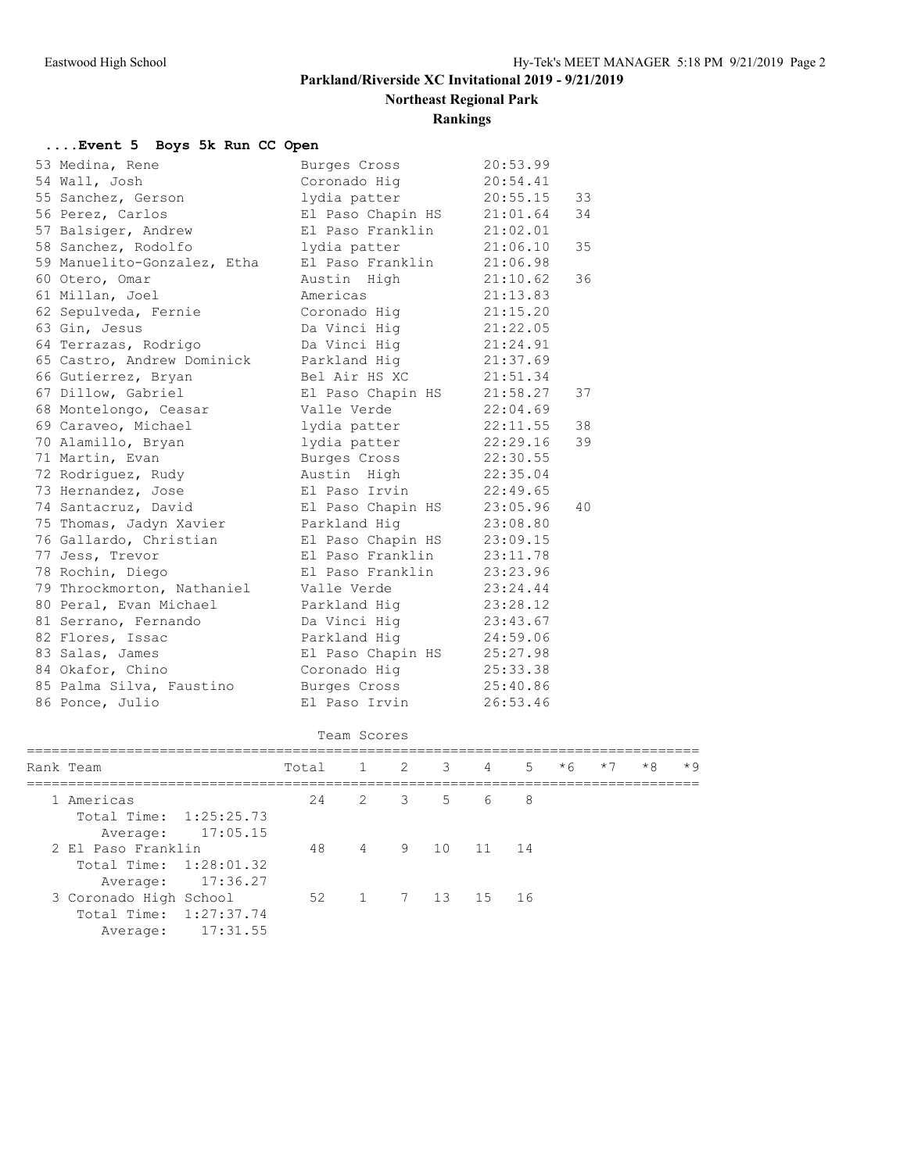**Northeast Regional Park**

# **Rankings**

## **....Event 5 Boys 5k Run CC Open**

| 53 Medina, Rene             | Burges Cross               | 20:53.99 |    |
|-----------------------------|----------------------------|----------|----|
| 54 Wall, Josh               | Coronado Hiq               | 20:54.41 |    |
| 55 Sanchez, Gerson          | lydia patter               | 20:55.15 | 33 |
| 56 Perez, Carlos            | El Paso Chapin HS 21:01.64 |          | 34 |
| 57 Balsiger, Andrew         | El Paso Franklin 21:02.01  |          |    |
| 58 Sanchez, Rodolfo         | lydia patter               | 21:06.10 | 35 |
| 59 Manuelito-Gonzalez, Etha | El Paso Franklin           | 21:06.98 |    |
| 60 Otero, Omar              | Austin High                | 21:10.62 | 36 |
| 61 Millan, Joel             | Americas                   | 21:13.83 |    |
| 62 Sepulveda, Fernie        | Coronado Hiq               | 21:15.20 |    |
| 63 Gin, Jesus               | Da Vinci Hig               | 21:22.05 |    |
| 64 Terrazas, Rodrigo        | Da Vinci Hig               | 21:24.91 |    |
| 65 Castro, Andrew Dominick  | Parkland Hig 21:37.69      |          |    |
| 66 Gutierrez, Bryan         | Bel Air HS XC 21:51.34     |          |    |
| 67 Dillow, Gabriel          | El Paso Chapin HS 21:58.27 |          | 37 |
| 68 Montelongo, Ceasar       | Valle Verde                | 22:04.69 |    |
| 69 Caraveo, Michael         | lydia patter               | 22:11.55 | 38 |
| 70 Alamillo, Bryan          | lydia patter               | 22:29.16 | 39 |
| 71 Martin, Evan             | Burges Cross               | 22:30.55 |    |
| 72 Rodriguez, Rudy          | Austin High                | 22:35.04 |    |
| 73 Hernandez, Jose          | El Paso Irvin              | 22:49.65 |    |
| 74 Santacruz, David         | El Paso Chapin HS 23:05.96 |          | 40 |
| 75 Thomas, Jadyn Xavier     | Parkland Hig 23:08.80      |          |    |
| 76 Gallardo, Christian      | El Paso Chapin HS          | 23:09.15 |    |
| 77 Jess, Trevor             | El Paso Franklin           | 23:11.78 |    |
| 78 Rochin, Diego            | El Paso Franklin           | 23:23.96 |    |
| 79 Throckmorton, Nathaniel  | Valle Verde                | 23:24.44 |    |
| 80 Peral, Evan Michael      | Parkland Hig               | 23:28.12 |    |
| 81 Serrano, Fernando        | Da Vinci Hig               | 23:43.67 |    |
| 82 Flores, Issac            | Parkland Hig               | 24:59.06 |    |
| 83 Salas, James             | El Paso Chapin HS 25:27.98 |          |    |
| 84 Okafor, Chino            | Coronado Hig 25:33.38      |          |    |
| 85 Palma Silva, Faustino    | Burges Cross               | 25:40.86 |    |
| 86 Ponce, Julio             | El Paso Irvin              | 26:53.46 |    |

| Rank Team |                        |                   | Total 1 2 3 4 5 *6 |                 |  |  | $*7$ | $*8$ | $*9$ |
|-----------|------------------------|-------------------|--------------------|-----------------|--|--|------|------|------|
|           | 1 Americas             |                   |                    | 24 2 3 5 6 8    |  |  |      |      |      |
|           | Total Time: 1:25:25.73 |                   |                    |                 |  |  |      |      |      |
|           |                        | Average: 17:05.15 |                    |                 |  |  |      |      |      |
|           | 2 El Paso Franklin     |                   |                    | 48 4 9 10 11 14 |  |  |      |      |      |
|           | Total Time: 1:28:01.32 |                   |                    |                 |  |  |      |      |      |
|           |                        | Average: 17:36.27 |                    |                 |  |  |      |      |      |
|           | 3 Coronado High School |                   |                    | 52 1 7 13 15 16 |  |  |      |      |      |
|           | Total Time: 1:27:37.74 |                   |                    |                 |  |  |      |      |      |
|           | Average:               | 17:31.55          |                    |                 |  |  |      |      |      |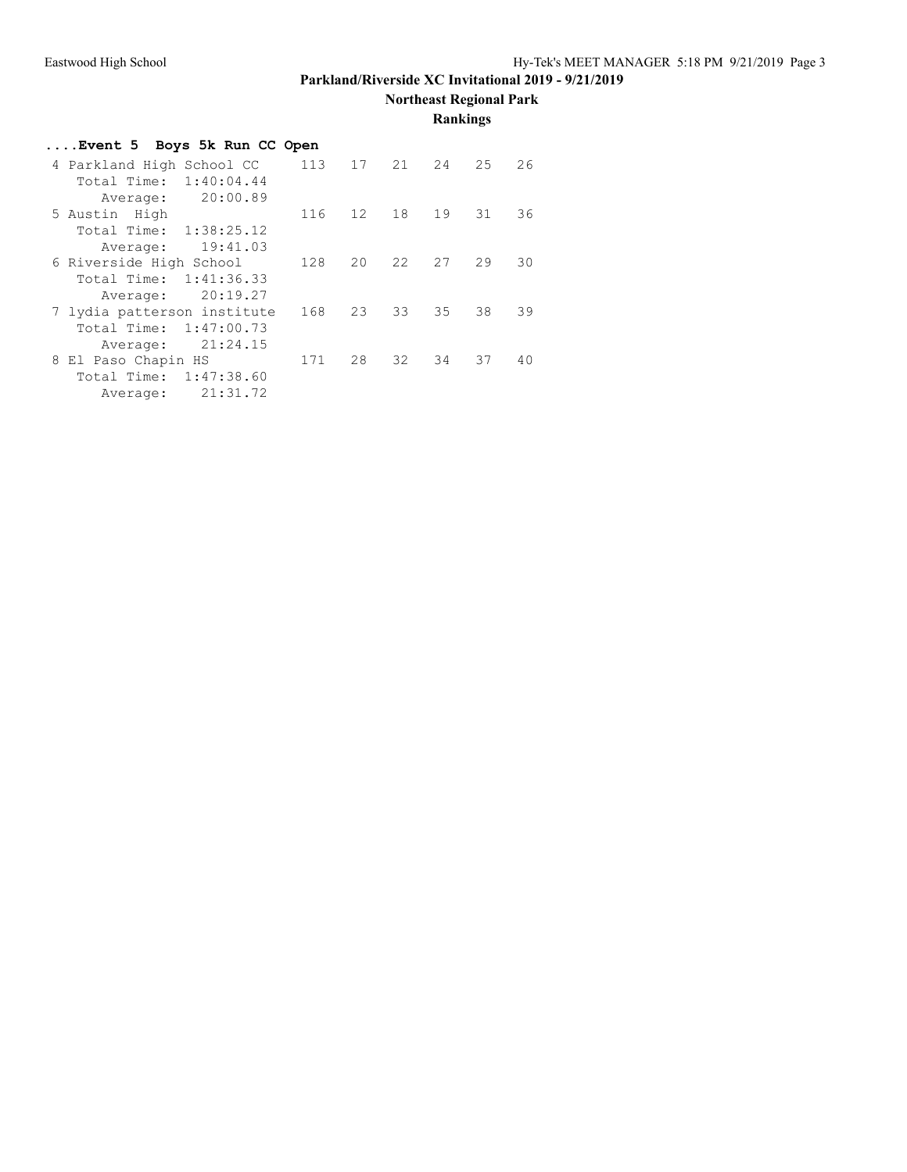**Northeast Regional Park**

**Rankings**

| Event 5 Boys 5k Run CC Open |     |                 |      |    |    |    |
|-----------------------------|-----|-----------------|------|----|----|----|
| 4 Parkland High School CC   | 113 | 17              | 21   | 24 | 25 | 26 |
| 1:40:04.44<br>Total Time:   |     |                 |      |    |    |    |
| 20:00.89<br>Average:        |     |                 |      |    |    |    |
| 5 Austin High               | 116 | 12 <sup>2</sup> | 18   | 19 | 31 | 36 |
| 1:38:25.12<br>Total Time:   |     |                 |      |    |    |    |
| 19:41.03<br>Average:        |     |                 |      |    |    |    |
| 6 Riverside High School     | 128 | $20 -$          | 22   | 27 | 29 | 30 |
| 1:41:36.33<br>Total Time:   |     |                 |      |    |    |    |
| 20:19.27<br>Average:        |     |                 |      |    |    |    |
| 7 lydia patterson institute | 168 | 23              | 33   | 35 | 38 | 39 |
| 1:47:00.73<br>Total Time:   |     |                 |      |    |    |    |
| 21:24.15<br>Average:        |     |                 |      |    |    |    |
| 8 El Paso Chapin HS         | 171 | 28              | 32 · | 34 | 37 | 40 |
| Total Time:<br>1:47:38.60   |     |                 |      |    |    |    |
| 21:31.72<br>Average:        |     |                 |      |    |    |    |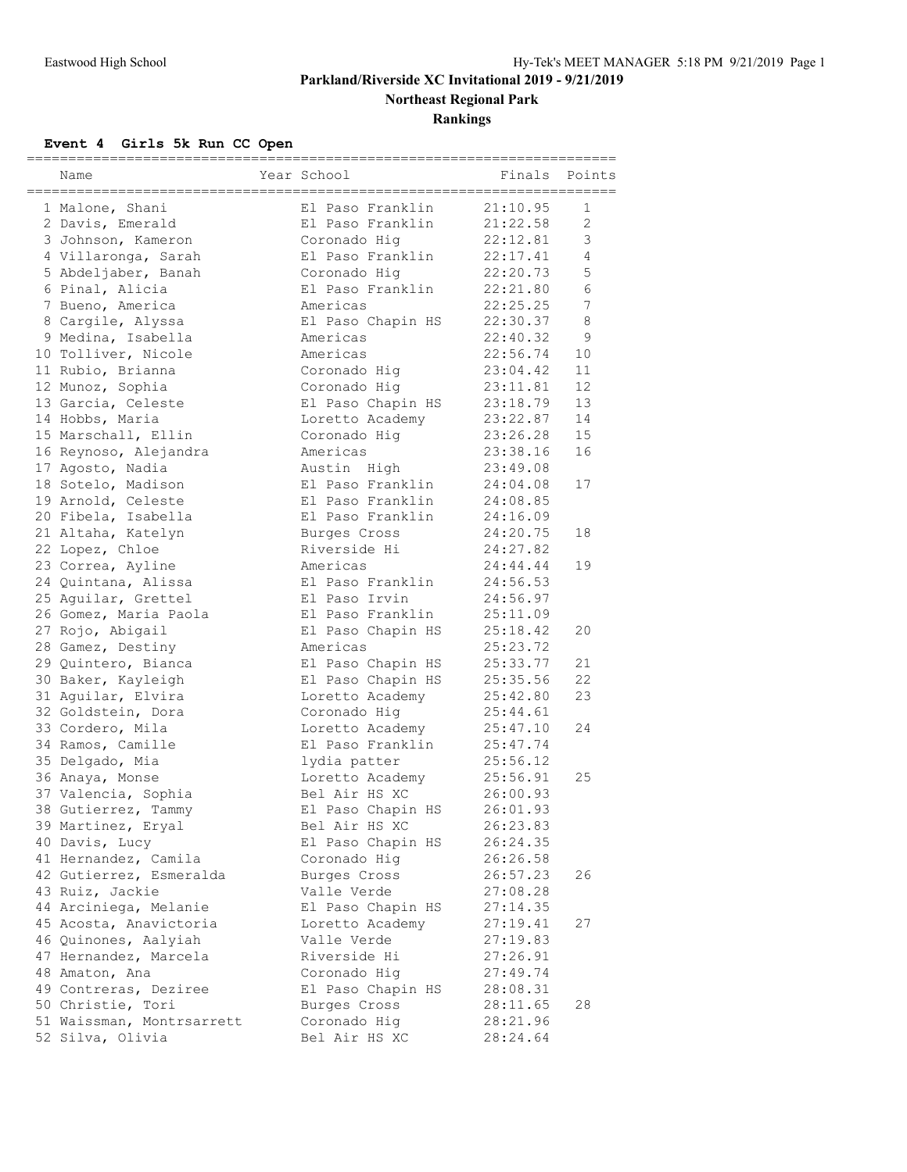**Northeast Regional Park**

**Rankings**

# **Event 4 Girls 5k Run CC Open**

| Name                      | ------------------<br>Year School | Finals   | Points         |
|---------------------------|-----------------------------------|----------|----------------|
| 1 Malone, Shani           | El Paso Franklin                  | 21:10.95 | 1              |
| 2 Davis, Emerald          | El Paso Franklin                  | 21:22.58 | $\mathbf{2}$   |
| 3 Johnson, Kameron        | Coronado Hiq                      | 22:12.81 | 3              |
| 4 Villaronga, Sarah       | El Paso Franklin                  | 22:17.41 | $\overline{4}$ |
| 5 Abdeljaber, Banah       | Coronado Hiq                      | 22:20.73 | 5              |
| 6 Pinal, Alicia           | El Paso Franklin                  | 22:21.80 | 6              |
| 7 Bueno, America          | Americas                          | 22:25.25 | 7              |
| 8 Cargile, Alyssa         | El Paso Chapin HS                 | 22:30.37 | 8              |
| 9 Medina, Isabella        | Americas                          | 22:40.32 | 9              |
| 10 Tolliver, Nicole       | Americas                          | 22:56.74 | 10             |
| 11 Rubio, Brianna         | Coronado Hiq                      | 23:04.42 | 11             |
| 12 Munoz, Sophia          | Coronado Hig                      | 23:11.81 | 12             |
| 13 Garcia, Celeste        | El Paso Chapin HS                 | 23:18.79 | 13             |
| 14 Hobbs, Maria           | Loretto Academy                   | 23:22.87 | 14             |
| 15 Marschall, Ellin       | Coronado Hig                      | 23:26.28 | 15             |
| 16 Reynoso, Alejandra     | Americas                          | 23:38.16 | 16             |
| 17 Agosto, Nadia          | Austin High                       | 23:49.08 |                |
| 18 Sotelo, Madison        | El Paso Franklin                  | 24:04.08 | 17             |
| 19 Arnold, Celeste        | El Paso Franklin                  | 24:08.85 |                |
| 20 Fibela, Isabella       | El Paso Franklin                  | 24:16.09 |                |
| 21 Altaha, Katelyn        | Burges Cross                      | 24:20.75 | 18             |
| 22 Lopez, Chloe           | Riverside Hi                      | 24:27.82 |                |
| 23 Correa, Ayline         | Americas                          | 24:44.44 | 19             |
| 24 Quintana, Alissa       | El Paso Franklin                  | 24:56.53 |                |
| 25 Aguilar, Grettel       | El Paso Irvin                     | 24:56.97 |                |
| 26 Gomez, Maria Paola     | El Paso Franklin                  | 25:11.09 |                |
| 27 Rojo, Abigail          | El Paso Chapin HS                 | 25:18.42 | 20             |
| 28 Gamez, Destiny         | Americas                          | 25:23.72 |                |
| 29 Quintero, Bianca       | El Paso Chapin HS                 | 25:33.77 | 21             |
| 30 Baker, Kayleigh        | El Paso Chapin HS                 | 25:35.56 | 22             |
| 31 Aguilar, Elvira        | Loretto Academy                   | 25:42.80 | 23             |
| 32 Goldstein, Dora        | Coronado Hig                      | 25:44.61 |                |
| 33 Cordero, Mila          | Loretto Academy                   | 25:47.10 | 24             |
| 34 Ramos, Camille         | El Paso Franklin                  | 25:47.74 |                |
| 35 Delgado, Mia           | lydia patter                      | 25:56.12 |                |
| 36 Anaya, Monse           | Loretto Academy                   | 25:56.91 | 25             |
| 37 Valencia, Sophia       | Bel Air HS XC                     | 26:00.93 |                |
| 38 Gutierrez, Tammy       | El Paso Chapin HS                 | 26:01.93 |                |
| 39 Martinez, Eryal        | Bel Air HS XC                     | 26:23.83 |                |
| 40 Davis, Lucy            | El Paso Chapin HS                 | 26:24.35 |                |
| 41 Hernandez, Camila      | Coronado Hig                      | 26:26.58 |                |
| 42 Gutierrez, Esmeralda   | Burges Cross                      | 26:57.23 | 26             |
| 43 Ruiz, Jackie           | Valle Verde                       | 27:08.28 |                |
| 44 Arciniega, Melanie     | El Paso Chapin HS                 | 27:14.35 |                |
| 45 Acosta, Anavictoria    | Loretto Academy                   | 27:19.41 | 27             |
| 46 Quinones, Aalyiah      | Valle Verde                       | 27:19.83 |                |
| 47 Hernandez, Marcela     | Riverside Hi                      | 27:26.91 |                |
| 48 Amaton, Ana            | Coronado Hig                      | 27:49.74 |                |
| 49 Contreras, Deziree     | El Paso Chapin HS                 | 28:08.31 |                |
| 50 Christie, Tori         | Burges Cross                      | 28:11.65 | 28             |
| 51 Waissman, Montrsarrett | Coronado Hig                      | 28:21.96 |                |
| 52 Silva, Olivia          | Bel Air HS XC                     | 28:24.64 |                |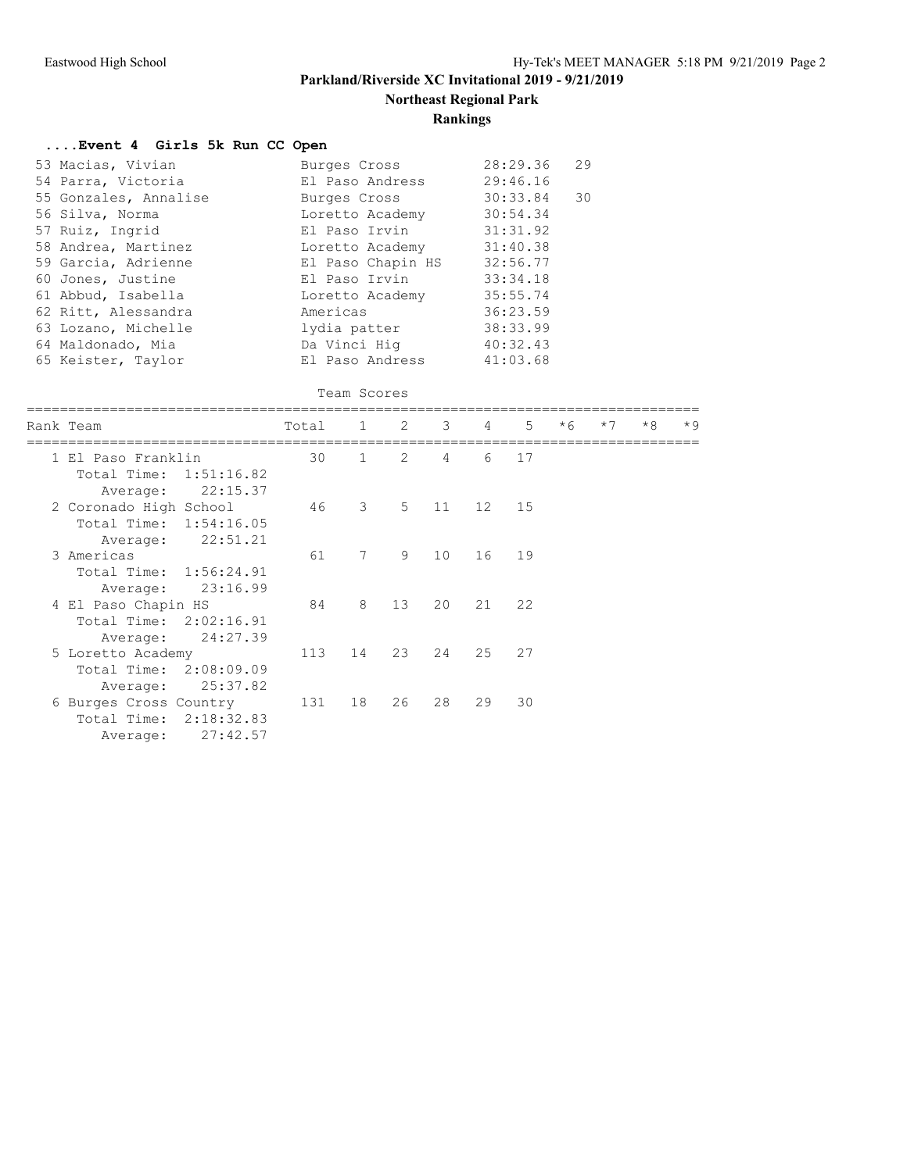**Northeast Regional Park**

## **Rankings**

## **....Event 4 Girls 5k Run CC Open**

| 53 Macias, Vivian     | Burges Cross      | 28:29.36 | 29 |
|-----------------------|-------------------|----------|----|
| 54 Parra, Victoria    | El Paso Andress   | 29:46.16 |    |
| 55 Gonzales, Annalise | Burges Cross      | 30:33.84 | 30 |
| 56 Silva, Norma       | Loretto Academy   | 30:54.34 |    |
| 57 Ruiz, Ingrid       | El Paso Irvin     | 31:31.92 |    |
| 58 Andrea, Martinez   | Loretto Academy   | 31:40.38 |    |
| 59 Garcia, Adrienne   | El Paso Chapin HS | 32:56.77 |    |
| 60 Jones, Justine     | El Paso Irvin     | 33:34.18 |    |
| 61 Abbud, Isabella    | Loretto Academy   | 35:55.74 |    |
| 62 Ritt, Alessandra   | Americas          | 36:23.59 |    |
| 63 Lozano, Michelle   | lydia patter      | 38:33.99 |    |
| 64 Maldonado, Mia     | Da Vinci Hiq      | 40:32.43 |    |
| 65 Keister, Taylor    | El Paso Andress   | 41:03.68 |    |

#### Team Scores

| Rank Team              | Total 1 2 3 4 |                            |         |                |    | $5 -$ | $*6$ | $*7$ | $*8$ | $*9$ |
|------------------------|---------------|----------------------------|---------|----------------|----|-------|------|------|------|------|
| 1 El Paso Franklin     | 30            | 1                          | 2       | $\overline{4}$ | 6  | 17    |      |      |      |      |
| Total Time: 1:51:16.82 |               |                            |         |                |    |       |      |      |      |      |
| 22:15.37<br>Average:   |               |                            |         |                |    |       |      |      |      |      |
| 2 Coronado High School | 46            | $\overline{\phantom{a}}$ 3 | 5 11 12 |                |    | 15    |      |      |      |      |
| Total Time: 1:54:16.05 |               |                            |         |                |    |       |      |      |      |      |
| 22:51.21<br>Average:   |               |                            |         |                |    |       |      |      |      |      |
| 3 Americas             | 61            | 7                          | 9       | 10             |    | 16 19 |      |      |      |      |
| Total Time: 1:56:24.91 |               |                            |         |                |    |       |      |      |      |      |
| Average: 23:16.99      |               |                            |         |                |    |       |      |      |      |      |
| 4 El Paso Chapin HS    | 84            | 8                          | 13      | 20             |    | 21 22 |      |      |      |      |
| Total Time: 2:02:16.91 |               |                            |         |                |    |       |      |      |      |      |
| Average: 24:27.39      |               |                            |         |                |    |       |      |      |      |      |
| 5 Loretto Academy      | 113           | 14                         | 23      | 24             | 25 | 27    |      |      |      |      |
| Total Time: 2:08:09.09 |               |                            |         |                |    |       |      |      |      |      |
| 25:37.82<br>Average:   |               |                            |         |                |    |       |      |      |      |      |
| 6 Burges Cross Country | 131           | 18                         | 26      | 28             | 29 | 30    |      |      |      |      |
| Total Time: 2:18:32.83 |               |                            |         |                |    |       |      |      |      |      |
| 27:42.57<br>Average:   |               |                            |         |                |    |       |      |      |      |      |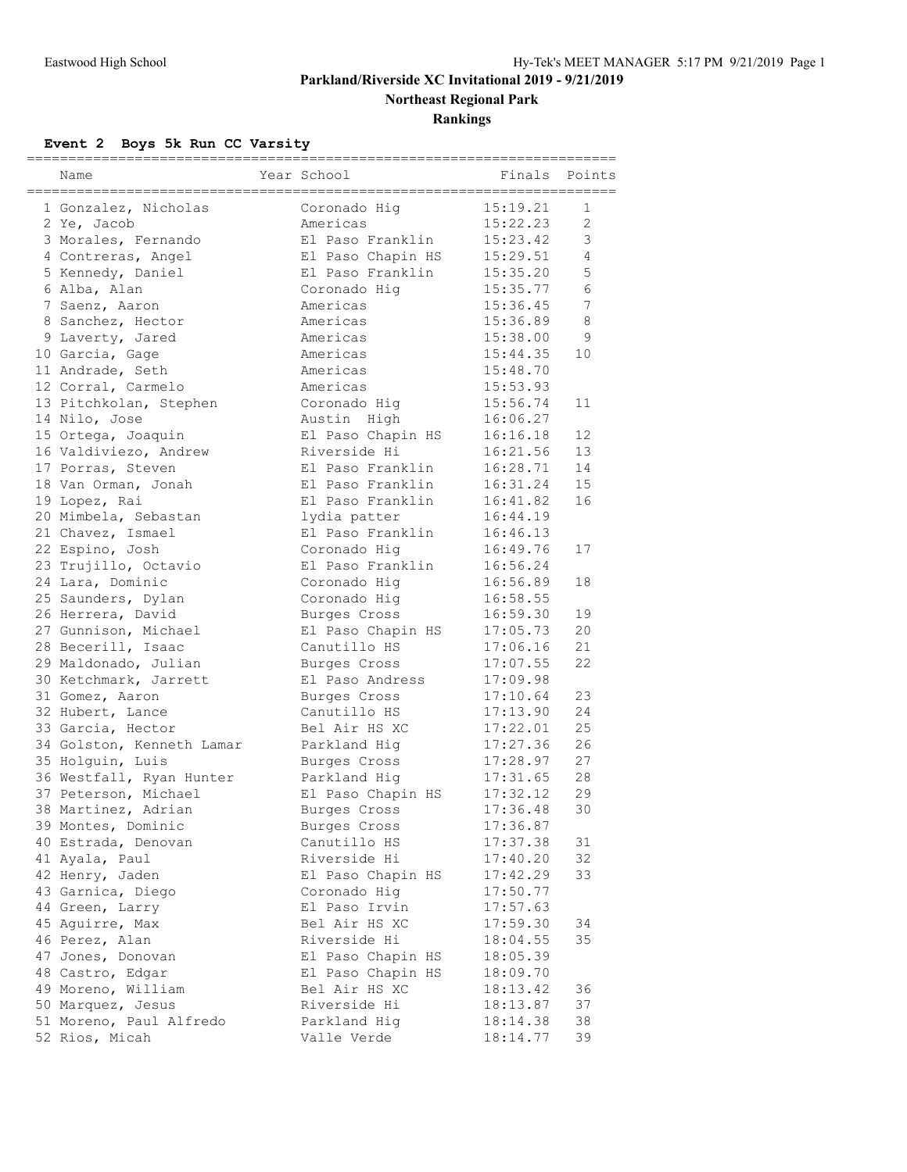**Northeast Regional Park**

**Rankings**

# **Event 2 Boys 5k Run CC Varsity**

| Name                                     | Year School                      | Finals               | Points          |
|------------------------------------------|----------------------------------|----------------------|-----------------|
| 1 Gonzalez, Nicholas                     | Coronado Hiq                     | 15:19.21             | 1               |
| 2 Ye, Jacob                              | Americas                         | 15:22.23             | $\overline{2}$  |
| 3 Morales, Fernando                      | El Paso Franklin                 | 15:23.42             | 3               |
| 4 Contreras, Angel                       | El Paso Chapin HS                | 15:29.51             | $\overline{4}$  |
| 5 Kennedy, Daniel                        | El Paso Franklin                 | 15:35.20             | 5               |
| 6 Alba, Alan                             | Coronado Hiq                     | 15:35.77             | 6               |
| 7 Saenz, Aaron                           | Americas                         | 15:36.45             | $7\phantom{.0}$ |
| 8 Sanchez, Hector                        | Americas                         | 15:36.89             | $\,8\,$         |
| 9 Laverty, Jared                         | Americas                         | 15:38.00             | 9               |
| 10 Garcia, Gage                          | Americas                         | 15:44.35             | 10              |
| 11 Andrade, Seth                         | Americas                         | 15:48.70             |                 |
| 12 Corral, Carmelo                       | Americas                         | 15:53.93             |                 |
| 13 Pitchkolan, Stephen                   | Coronado Hig                     | 15:56.74             | 11              |
| 14 Nilo, Jose                            | Austin High                      | 16:06.27             |                 |
| 15 Ortega, Joaquin                       | El Paso Chapin HS                | 16:16.18             | 12              |
| 16 Valdiviezo, Andrew                    | Riverside Hi                     | 16:21.56             | 13              |
| 17 Porras, Steven                        | El Paso Franklin                 | 16:28.71             | 14              |
| 18 Van Orman, Jonah                      | El Paso Franklin                 | 16:31.24             | 15              |
| 19 Lopez, Rai                            | El Paso Franklin                 | 16:41.82             | 16              |
| 20 Mimbela, Sebastan                     |                                  | 16:44.19             |                 |
| 21 Chavez, Ismael                        | lydia patter<br>El Paso Franklin | 16:46.13             |                 |
| 22 Espino, Josh                          | Coronado Hiq                     | 16:49.76             | 17              |
|                                          | El Paso Franklin                 | 16:56.24             |                 |
| 23 Trujillo, Octavio<br>24 Lara, Dominic | Coronado Hiq                     | 16:56.89             | 18              |
|                                          |                                  |                      |                 |
| 25 Saunders, Dylan                       | Coronado Hig                     | 16:58.55             | 19              |
| 26 Herrera, David                        | Burges Cross                     | 16:59.30<br>17:05.73 | 20              |
| 27 Gunnison, Michael                     | El Paso Chapin HS                |                      |                 |
| 28 Becerill, Isaac                       | Canutillo HS                     | 17:06.16             | 21<br>22        |
| 29 Maldonado, Julian                     | Burges Cross                     | 17:07.55             |                 |
| 30 Ketchmark, Jarrett                    | El Paso Andress                  | 17:09.98             |                 |
| 31 Gomez, Aaron                          | Burges Cross                     | 17:10.64             | 23              |
| 32 Hubert, Lance                         | Canutillo HS<br>Bel Air HS XC    | 17:13.90             | 24              |
| 33 Garcia, Hector                        |                                  | 17:22.01             | 25              |
| 34 Golston, Kenneth Lamar                | Parkland Hig                     | 17:27.36             | 26              |
| 35 Holguin, Luis                         | Burges Cross                     | 17:28.97             | 27              |
| 36 Westfall, Ryan Hunter                 | Parkland Hig                     | 17:31.65             | 28              |
| 37 Peterson, Michael                     | El Paso Chapin HS                | 17:32.12             | 29              |
| 38 Martinez, Adrian                      | Burges Cross                     | 17:36.48             | 30              |
| 39 Montes, Dominic                       | Burges Cross                     | 17:36.87             |                 |
| 40 Estrada, Denovan                      | Canutillo HS                     | 17:37.38             | 31              |
| 41 Ayala, Paul                           | Riverside Hi                     | 17:40.20             | 32              |
| 42 Henry, Jaden                          | El Paso Chapin HS                | 17:42.29             | 33              |
| 43 Garnica, Diego                        | Coronado Hig                     | 17:50.77             |                 |
| 44 Green, Larry                          | El Paso Irvin                    | 17:57.63             |                 |
| 45 Aquirre, Max                          | Bel Air HS XC                    | 17:59.30             | 34              |
| 46 Perez, Alan                           | Riverside Hi                     | 18:04.55             | 35              |
| 47 Jones, Donovan                        | El Paso Chapin HS                | 18:05.39             |                 |
| 48 Castro, Edgar                         | El Paso Chapin HS                | 18:09.70             |                 |
| 49 Moreno, William                       | Bel Air HS XC                    | 18:13.42             | 36              |
| 50 Marquez, Jesus                        | Riverside Hi                     | 18:13.87             | 37              |
| 51 Moreno, Paul Alfredo                  | Parkland Hig                     | 18:14.38             | 38              |
| 52 Rios, Micah                           | Valle Verde                      | 18:14.77             | 39              |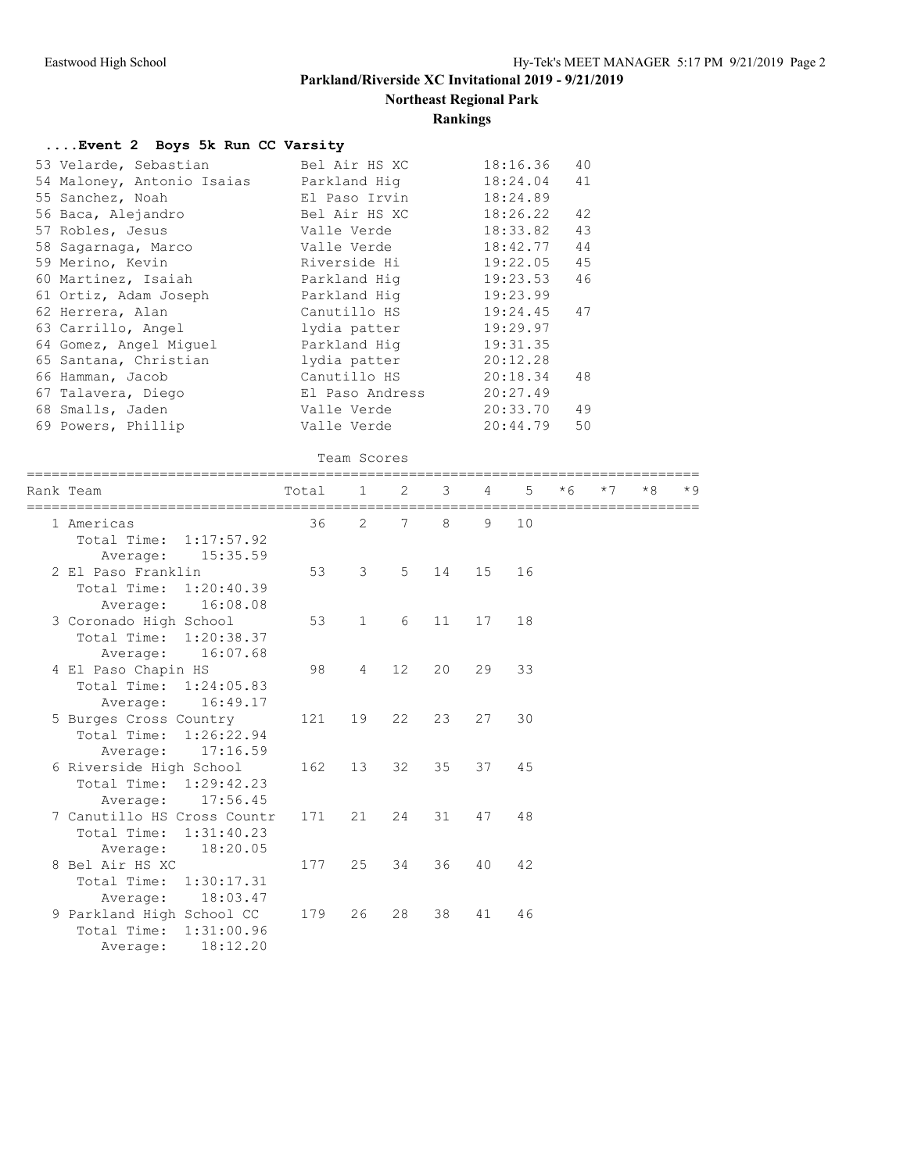**Northeast Regional Park**

## **Rankings**

#### **....Event 2 Boys 5k Run CC Varsity**

| 53 Velarde, Sebastian                             |                                                                                                                                                              | Bel Air HS XC   |                 |       |    | 18:16.36 | 40   |      |      |      |
|---------------------------------------------------|--------------------------------------------------------------------------------------------------------------------------------------------------------------|-----------------|-----------------|-------|----|----------|------|------|------|------|
| 54 Maloney, Antonio Isaias                        | Parkland Hig                                                                                                                                                 |                 |                 |       |    | 18:24.04 | 41   |      |      |      |
| 55 Sanchez, Noah                                  | El Paso Irvin<br>Bel Air HS XC<br>Valle Verde<br>Valle Verde<br>Riverside Hi<br>Parkland Hig<br>Parkland Hig<br>Canutillo HS<br>lydia patter<br>Parkland Hig |                 |                 |       |    | 18:24.89 |      |      |      |      |
| 56 Baca, Alejandro                                |                                                                                                                                                              |                 |                 |       |    | 18:26.22 | 42   |      |      |      |
| 57 Robles, Jesus                                  |                                                                                                                                                              |                 |                 |       |    | 18:33.82 | 43   |      |      |      |
| 58 Sagarnaga, Marco                               |                                                                                                                                                              |                 |                 |       |    | 18:42.77 | 44   |      |      |      |
| 59 Merino, Kevin                                  |                                                                                                                                                              |                 |                 |       |    | 19:22.05 | 45   |      |      |      |
| 60 Martinez, Isaiah                               |                                                                                                                                                              |                 |                 |       |    | 19:23.53 | 46   |      |      |      |
| 61 Ortiz, Adam Joseph                             |                                                                                                                                                              |                 |                 |       |    | 19:23.99 |      |      |      |      |
| 62 Herrera, Alan                                  |                                                                                                                                                              |                 |                 |       |    | 19:24.45 | 47   |      |      |      |
| 63 Carrillo, Angel                                |                                                                                                                                                              |                 |                 |       |    | 19:29.97 |      |      |      |      |
| 64 Gomez, Angel Miguel                            |                                                                                                                                                              |                 |                 |       |    | 19:31.35 |      |      |      |      |
| 65 Santana, Christian                             |                                                                                                                                                              | lydia patter    |                 |       |    | 20:12.28 |      |      |      |      |
| 66 Hamman, Jacob                                  |                                                                                                                                                              | Canutillo HS    |                 |       |    | 20:18.34 | 48   |      |      |      |
| 67 Talavera, Diego                                |                                                                                                                                                              | El Paso Andress |                 |       |    | 20:27.49 |      |      |      |      |
| 68 Smalls, Jaden                                  |                                                                                                                                                              | Valle Verde     |                 |       |    | 20:33.70 | 49   |      |      |      |
| 69 Powers, Phillip                                |                                                                                                                                                              | Valle Verde     |                 |       |    | 20:44.79 | 50   |      |      |      |
|                                                   |                                                                                                                                                              | Team Scores     |                 |       |    |          |      |      |      |      |
| Rank Team                                         | Total                                                                                                                                                        | 1               | 2               | 3     | 4  | 5        | $*6$ | $*7$ | $*8$ | $*9$ |
| 1 Americas                                        | 36                                                                                                                                                           | 2               | $7\phantom{.0}$ | 8     | 9  | 10       |      |      |      |      |
| Total Time: 1:17:57.92                            |                                                                                                                                                              |                 |                 |       |    |          |      |      |      |      |
| Average:<br>15:35.59                              |                                                                                                                                                              |                 |                 |       |    |          |      |      |      |      |
| 2 El Paso Franklin                                | 53                                                                                                                                                           | 3               | 5               | 14    | 15 | 16       |      |      |      |      |
| Total Time: 1:20:40.39                            |                                                                                                                                                              |                 |                 |       |    |          |      |      |      |      |
| Average: 16:08.08                                 |                                                                                                                                                              |                 |                 |       |    |          |      |      |      |      |
| 3 Coronado High School                            | 53                                                                                                                                                           | $\mathbf{1}$    | 6               | 11    | 17 | 18       |      |      |      |      |
| Total Time: 1:20:38.37                            |                                                                                                                                                              |                 |                 |       |    |          |      |      |      |      |
| 16:07.68<br>Average:                              |                                                                                                                                                              |                 |                 |       |    |          |      |      |      |      |
| 4 El Paso Chapin HS                               | 98                                                                                                                                                           | 4               | 12              | 20    | 29 | 33       |      |      |      |      |
| Total Time: 1:24:05.83                            |                                                                                                                                                              |                 |                 |       |    |          |      |      |      |      |
| Average: 16:49.17                                 |                                                                                                                                                              |                 |                 |       |    |          |      |      |      |      |
|                                                   | 121                                                                                                                                                          | 19              | 22              | 23    | 27 | 30       |      |      |      |      |
| 5 Burges Cross Country<br>Total Time: 1:26:22.94  |                                                                                                                                                              |                 |                 |       |    |          |      |      |      |      |
| 17:16.59                                          |                                                                                                                                                              |                 |                 |       |    |          |      |      |      |      |
| Average:                                          |                                                                                                                                                              |                 |                 |       |    |          |      |      |      |      |
| 6 Riverside High School<br>Total Time: 1:29:42.23 | 162                                                                                                                                                          | 13              | 32              | 35    | 37 | 45       |      |      |      |      |
|                                                   |                                                                                                                                                              |                 |                 |       |    |          |      |      |      |      |
| Average: 17:56.45                                 |                                                                                                                                                              |                 |                 |       |    |          |      |      |      |      |
| 7 Canutillo HS Cross Countr                       | 171                                                                                                                                                          | 21              | 24              | 31 47 |    | 48       |      |      |      |      |
| Total Time: 1:31:40.23                            |                                                                                                                                                              |                 |                 |       |    |          |      |      |      |      |
| Average:<br>18:20.05                              |                                                                                                                                                              |                 |                 |       |    |          |      |      |      |      |
| 8 Bel Air HS XC                                   | 177                                                                                                                                                          | 25              | 34              | 36    | 40 | 42       |      |      |      |      |
| Total Time:<br>1:30:17.31                         |                                                                                                                                                              |                 |                 |       |    |          |      |      |      |      |
| 18:03.47<br>Average:                              |                                                                                                                                                              |                 |                 |       |    |          |      |      |      |      |
| 9 Parkland High School CC                         | 179                                                                                                                                                          | 26              | 28              | 38    | 41 | 46       |      |      |      |      |
| Total Time:<br>1:31:00.96                         |                                                                                                                                                              |                 |                 |       |    |          |      |      |      |      |
| 18:12.20<br>Average:                              |                                                                                                                                                              |                 |                 |       |    |          |      |      |      |      |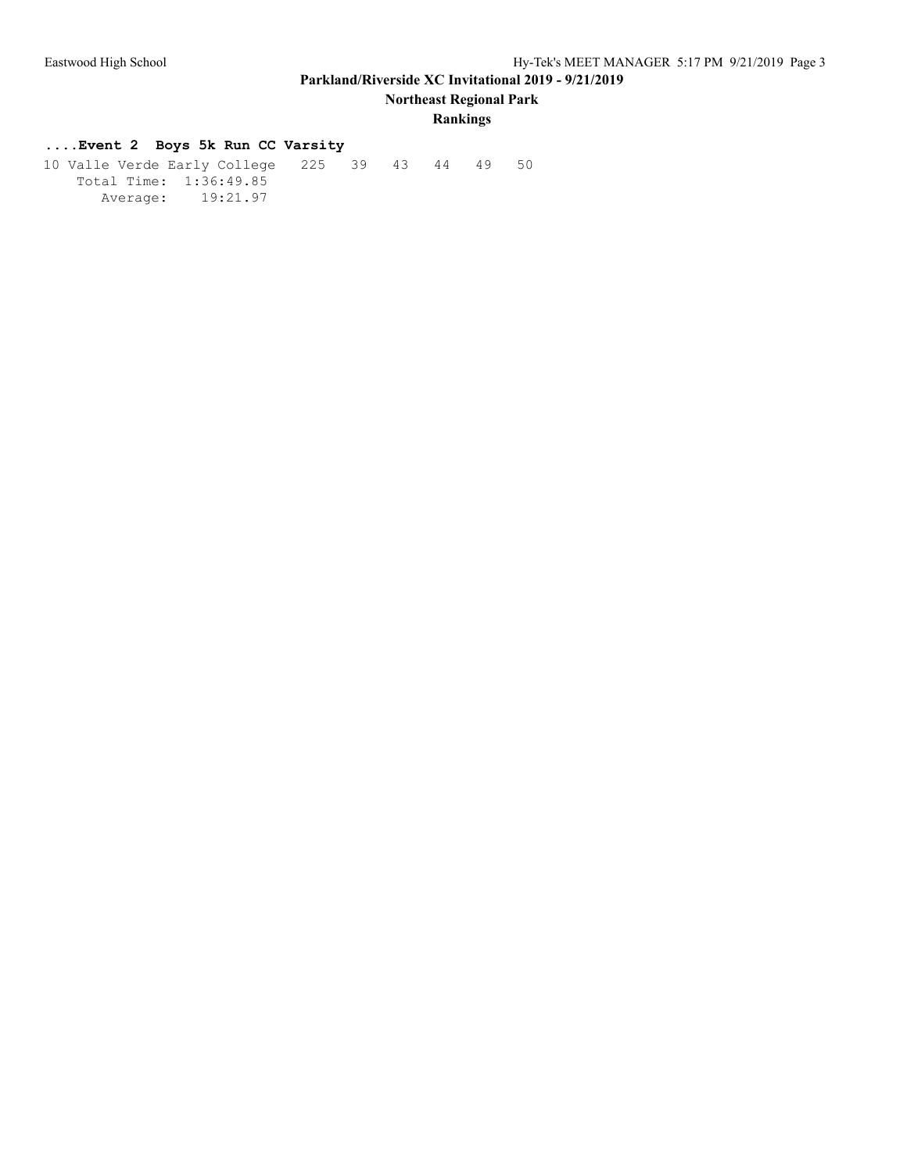**Northeast Regional Park**

## **Rankings**

## **....Event 2 Boys 5k Run CC Varsity**

 10 Valle Verde Early College 225 39 43 44 49 50 Total Time: 1:36:49.85 Average: 19:21.97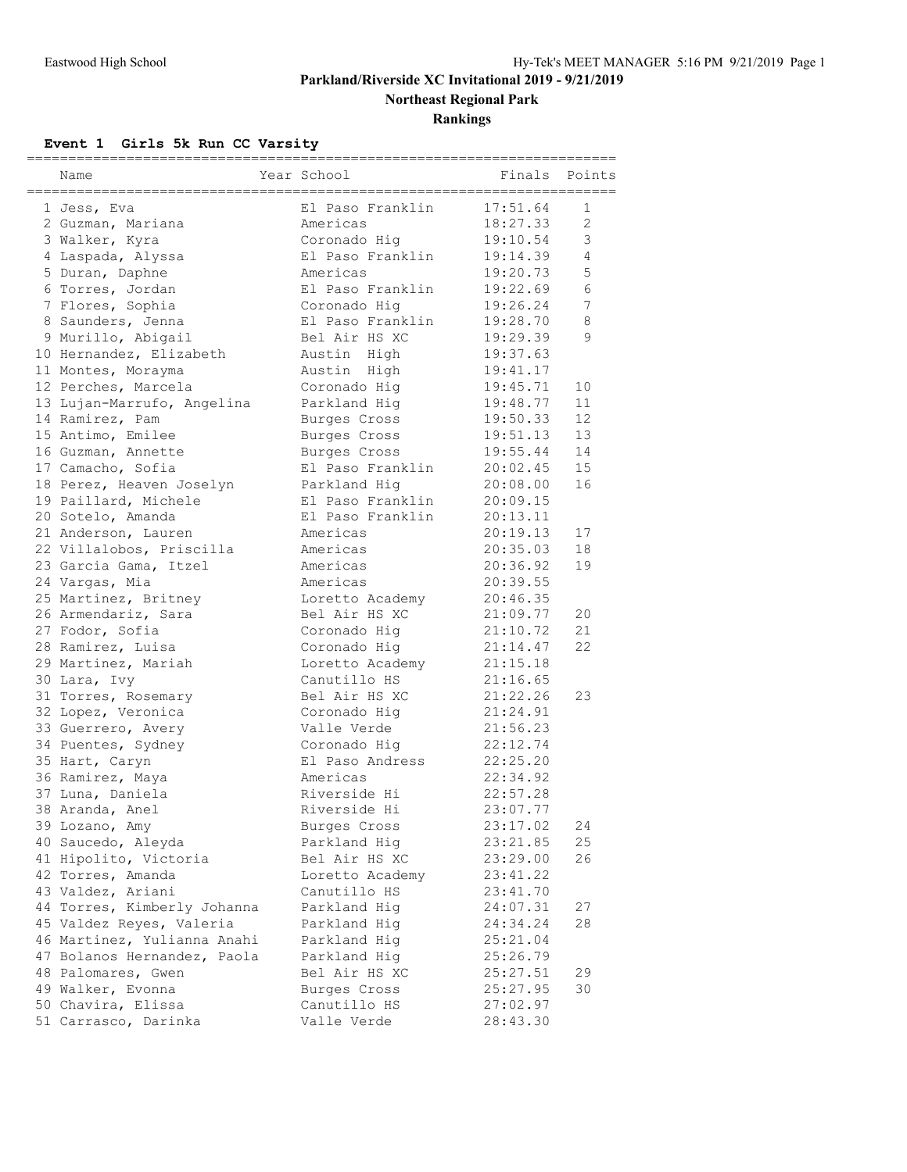**Northeast Regional Park**

**Rankings**

# **Event 1 Girls 5k Run CC Varsity**

|                             |                  | ------------------- |                |
|-----------------------------|------------------|---------------------|----------------|
| Name                        | Year School      | Finals              | Points         |
|                             |                  |                     |                |
| 1 Jess, Eva                 | El Paso Franklin | 17:51.64            | 1              |
| 2 Guzman, Mariana           | Americas         | 18:27.33            | $\overline{c}$ |
| 3 Walker, Kyra              | Coronado Hig     | 19:10.54            | 3              |
| 4 Laspada, Alyssa           | El Paso Franklin | 19:14.39            | 4              |
| 5 Duran, Daphne             | Americas         | 19:20.73            | 5              |
| 6 Torres, Jordan            | El Paso Franklin | 19:22.69            | 6              |
| 7 Flores, Sophia            | Coronado Hiq     | 19:26.24            | 7              |
| 8 Saunders, Jenna           | El Paso Franklin | 19:28.70            | 8              |
| 9 Murillo, Abigail          | Bel Air HS XC    | 19:29.39            | 9              |
| 10 Hernandez, Elizabeth     | Austin High      | 19:37.63            |                |
| 11 Montes, Morayma          | Austin High      | 19:41.17            |                |
| 12 Perches, Marcela         | Coronado Hig     | 19:45.71            | 10             |
| 13 Lujan-Marrufo, Angelina  | Parkland Hig     | 19:48.77            | 11             |
| 14 Ramirez, Pam             | Burges Cross     | 19:50.33            | 12             |
| 15 Antimo, Emilee           | Burges Cross     | 19:51.13            | 13             |
| 16 Guzman, Annette          | Burges Cross     | 19:55.44            | 14             |
| 17 Camacho, Sofia           | El Paso Franklin | 20:02.45            | 15             |
| 18 Perez, Heaven Joselyn    | Parkland Hig     | 20:08.00            | 16             |
| 19 Paillard, Michele        | El Paso Franklin | 20:09.15            |                |
| 20 Sotelo, Amanda           | El Paso Franklin | 20:13.11            |                |
| 21 Anderson, Lauren         | Americas         | 20:19.13            | 17             |
|                             |                  |                     |                |
| 22 Villalobos, Priscilla    | Americas         | 20:35.03            | 18             |
| 23 Garcia Gama, Itzel       | Americas         | 20:36.92            | 19             |
| 24 Vargas, Mia              | Americas         | 20:39.55            |                |
| 25 Martinez, Britney        | Loretto Academy  | 20:46.35            |                |
| 26 Armendariz, Sara         | Bel Air HS XC    | 21:09.77            | 20             |
| 27 Fodor, Sofia             | Coronado Hig     | 21:10.72            | 21             |
| 28 Ramirez, Luisa           | Coronado Hiq     | 21:14.47            | 22             |
| 29 Martinez, Mariah         | Loretto Academy  | 21:15.18            |                |
| 30 Lara, Ivy                | Canutillo HS     | 21:16.65            |                |
| 31 Torres, Rosemary         | Bel Air HS XC    | 21:22.26            | 23             |
| 32 Lopez, Veronica          | Coronado Hig     | 21:24.91            |                |
| 33 Guerrero, Avery          | Valle Verde      | 21:56.23            |                |
| 34 Puentes, Sydney          | Coronado Hig     | 22:12.74            |                |
| 35 Hart, Caryn              | El Paso Andress  | 22:25.20            |                |
| 36 Ramirez, Maya            | Americas         | 22:34.92            |                |
| 37 Luna, Daniela            | Riverside Hi     | 22:57.28            |                |
| 38 Aranda, Anel             | Riverside Hi     | 23:07.77            |                |
| 39 Lozano, Amy              | Burges Cross     | 23:17.02            | 24             |
| 40 Saucedo, Aleyda          | Parkland Hig     | 23:21.85            | 25             |
| 41 Hipolito, Victoria       | Bel Air HS XC    | 23:29.00            | 26             |
| 42 Torres, Amanda           | Loretto Academy  | 23:41.22            |                |
| 43 Valdez, Ariani           | Canutillo HS     | 23:41.70            |                |
| 44 Torres, Kimberly Johanna | Parkland Hig     | 24:07.31            | 27             |
| 45 Valdez Reyes, Valeria    | Parkland Hig     | 24:34.24            | 28             |
| 46 Martinez, Yulianna Anahi | Parkland Hig     | 25:21.04            |                |
| 47 Bolanos Hernandez, Paola | Parkland Hig     | 25:26.79            |                |
| 48 Palomares, Gwen          | Bel Air HS XC    | 25:27.51            | 29             |
| 49 Walker, Evonna           | Burges Cross     | 25:27.95            | 30             |
| 50 Chavira, Elissa          | Canutillo HS     | 27:02.97            |                |
| 51 Carrasco, Darinka        | Valle Verde      | 28:43.30            |                |